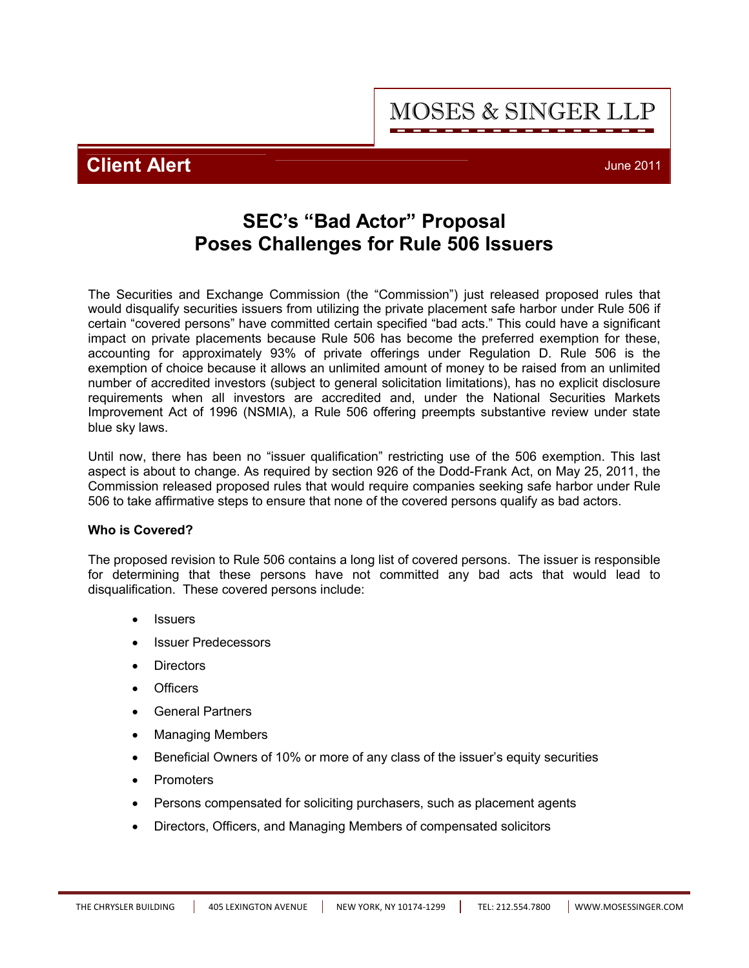THE CHRYSLER BUILDING | 405 LEXINGTON AVENUE | NEW YORK, NY 10174-1299 | TEL: 212.554.7800 | <WWW.MOSESSINGER.COM>

## **Client Alert** June 2011

## **SEC's "Bad Actor" Proposal Poses Challenges for Rule 506 Issuers**

The Securities and Exchange Commission (the "Commission") just released proposed rules that would disqualify securities issuers from utilizing the private placement safe harbor under Rule 506 if certain "covered persons" have committed certain specified "bad acts." This could have a significant impact on private placements because Rule 506 has become the preferred exemption for these, accounting for approximately 93% of private offerings under Regulation D. Rule 506 is the exemption of choice because it allows an unlimited amount of money to be raised from an unlimited number of accredited investors (subject to general solicitation limitations), has no explicit disclosure requirements when all investors are accredited and, under the National Securities Markets Improvement Act of 1996 (NSMIA), a Rule 506 offering preempts substantive review under state blue sky laws.

Until now, there has been no "issuer qualification" restricting use of the 506 exemption. This last aspect is about to change. As required by section 926 of the Dodd-Frank Act, on May 25, 2011, the Commission released proposed rules that would require companies seeking safe harbor under Rule 506 to take affirmative steps to ensure that none of the covered persons qualify as bad actors.

### **Who is Covered?**

The proposed revision to Rule 506 contains a long list of covered persons. The issuer is responsible for determining that these persons have not committed any bad acts that would lead to disqualification. These covered persons include:

- **Issuers**
- · Issuer Predecessors
- · Directors
- · Officers
- **General Partners**
- · Managing Members
- · Beneficial Owners of 10% or more of any class of the issuer's equity securities
- · Promoters
- · Persons compensated for soliciting purchasers, such as placement agents
- Directors, Officers, and Managing Members of compensated solicitors

# **MOSES & SINGER LLP**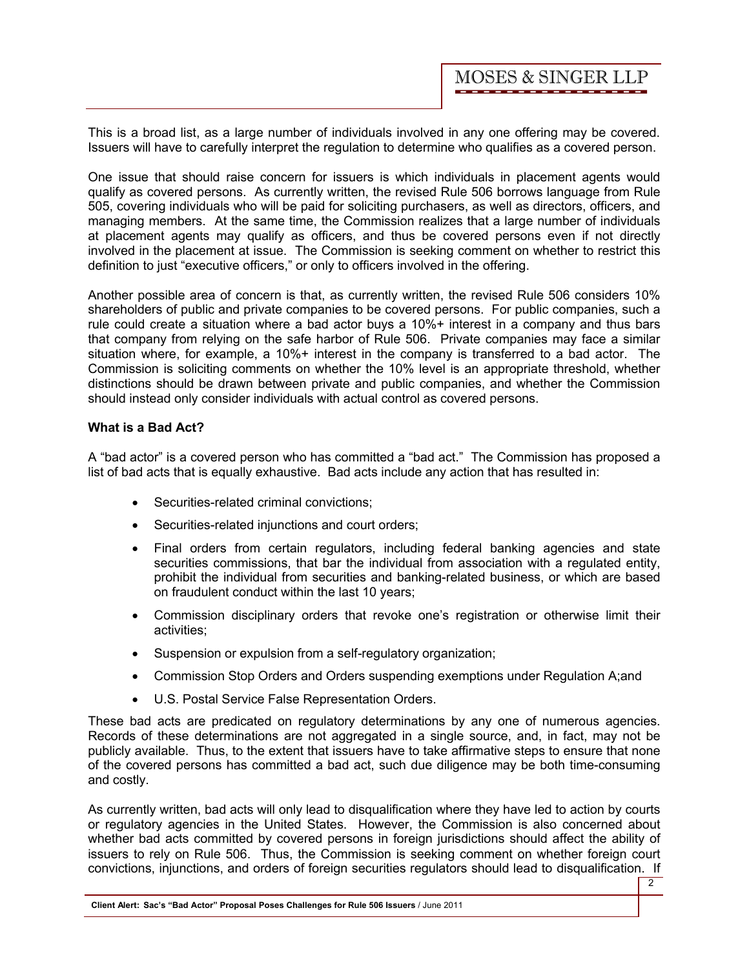This is a broad list, as a large number of individuals involved in any one offering may be covered. Issuers will have to carefully interpret the regulation to determine who qualifies as a covered person.

One issue that should raise concern for issuers is which individuals in placement agents would qualify as covered persons. As currently written, the revised Rule 506 borrows language from Rule 505, covering individuals who will be paid for soliciting purchasers, as well as directors, officers, and managing members. At the same time, the Commission realizes that a large number of individuals at placement agents may qualify as officers, and thus be covered persons even if not directly involved in the placement at issue. The Commission is seeking comment on whether to restrict this definition to just "executive officers," or only to officers involved in the offering.

Another possible area of concern is that, as currently written, the revised Rule 506 considers 10% shareholders of public and private companies to be covered persons. For public companies, such a rule could create a situation where a bad actor buys a 10%+ interest in a company and thus bars that company from relying on the safe harbor of Rule 506. Private companies may face a similar situation where, for example, a 10%+ interest in the company is transferred to a bad actor. The Commission is soliciting comments on whether the 10% level is an appropriate threshold, whether distinctions should be drawn between private and public companies, and whether the Commission should instead only consider individuals with actual control as covered persons.

### **What is a Bad Act?**

A "bad actor" is a covered person who has committed a "bad act." The Commission has proposed a list of bad acts that is equally exhaustive. Bad acts include any action that has resulted in:

- · Securities-related criminal convictions;
- · Securities-related injunctions and court orders;
- · Final orders from certain regulators, including federal banking agencies and state securities commissions, that bar the individual from association with a regulated entity, prohibit the individual from securities and banking-related business, or which are based on fraudulent conduct within the last 10 years;
- · Commission disciplinary orders that revoke one's registration or otherwise limit their activities;
- · Suspension or expulsion from a self-regulatory organization;
- · Commission Stop Orders and Orders suspending exemptions under Regulation A;and
- · U.S. Postal Service False Representation Orders.

These bad acts are predicated on regulatory determinations by any one of numerous agencies. Records of these determinations are not aggregated in a single source, and, in fact, may not be publicly available. Thus, to the extent that issuers have to take affirmative steps to ensure that none of the covered persons has committed a bad act, such due diligence may be both time-consuming and costly.

As currently written, bad acts will only lead to disqualification where they have led to action by courts or regulatory agencies in the United States. However, the Commission is also concerned about whether bad acts committed by covered persons in foreign jurisdictions should affect the ability of issuers to rely on Rule 506. Thus, the Commission is seeking comment on whether foreign court convictions, injunctions, and orders of foreign securities regulators should lead to disqualification. If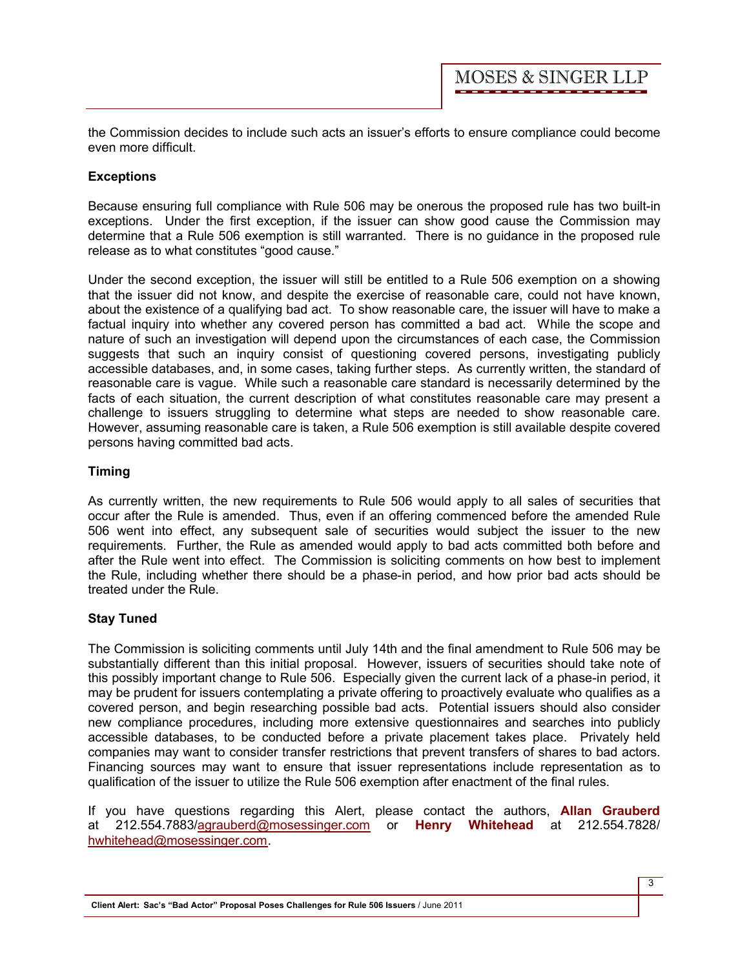the Commission decides to include such acts an issuer's efforts to ensure compliance could become even more difficult.

#### **Exceptions**

Because ensuring full compliance with Rule 506 may be onerous the proposed rule has two built-in exceptions. Under the first exception, if the issuer can show good cause the Commission may determine that a Rule 506 exemption is still warranted. There is no guidance in the proposed rule release as to what constitutes "good cause."

Under the second exception, the issuer will still be entitled to a Rule 506 exemption on a showing that the issuer did not know, and despite the exercise of reasonable care, could not have known, about the existence of a qualifying bad act. To show reasonable care, the issuer will have to make a factual inquiry into whether any covered person has committed a bad act. While the scope and nature of such an investigation will depend upon the circumstances of each case, the Commission suggests that such an inquiry consist of questioning covered persons, investigating publicly accessible databases, and, in some cases, taking further steps. As currently written, the standard of reasonable care is vague. While such a reasonable care standard is necessarily determined by the facts of each situation, the current description of what constitutes reasonable care may present a challenge to issuers struggling to determine what steps are needed to show reasonable care. However, assuming reasonable care is taken, a Rule 506 exemption is still available despite covered persons having committed bad acts.

#### **Timing**

As currently written, the new requirements to Rule 506 would apply to all sales of securities that occur after the Rule is amended. Thus, even if an offering commenced before the amended Rule 506 went into effect, any subsequent sale of securities would subject the issuer to the new requirements. Further, the Rule as amended would apply to bad acts committed both before and after the Rule went into effect. The Commission is soliciting comments on how best to implement the Rule, including whether there should be a phase-in period, and how prior bad acts should be treated under the Rule.

### **Stay Tuned**

The Commission is soliciting comments until July 14th and the final amendment to Rule 506 may be substantially different than this initial proposal. However, issuers of securities should take note of this possibly important change to Rule 506. Especially given the current lack of a phase-in period, it may be prudent for issuers contemplating a private offering to proactively evaluate who qualifies as a covered person, and begin researching possible bad acts. Potential issuers should also consider new compliance procedures, including more extensive questionnaires and searches into publicly accessible databases, to be conducted before a private placement takes place. Privately held companies may want to consider transfer restrictions that prevent transfers of shares to bad actors. Financing sources may want to ensure that issuer representations include representation as to qualification of the issuer to utilize the Rule 506 exemption after enactment of the final rules.

If you have questions regarding this Alert, please contact the authors, **[Allan Grauberd](http://www.mosessinger.com/personnel/agrauberd/)** at 212.554.7883/agrauberd@mosessinger.com or **[Henry Whitehead](http://www.mosessinger.com/personnel/hwhitehead/)** at 212.554.7828/ hwhitehead@mosessinger.com.

**Client Alert: Sac's "Bad Actor" Proposal Poses Challenges for Rule 506 Issuers** / June 2011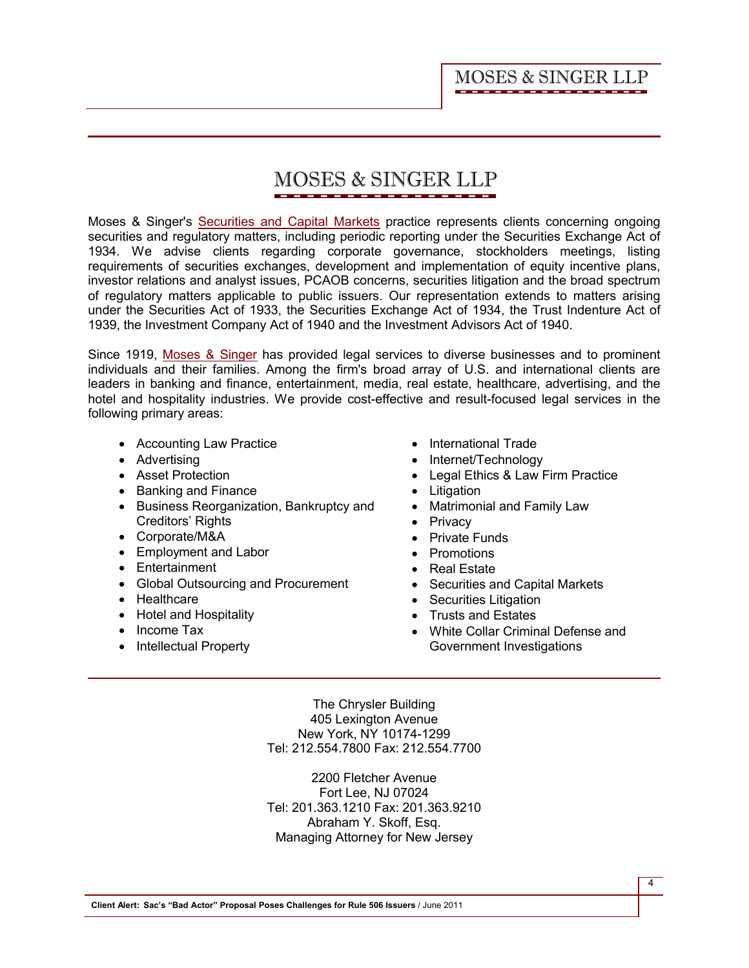# MOSES & SINGER LLP

Moses & Singer's [Securities and Capital Markets](http://www.mosessinger.com/Securities-and-Capital-Markets/) practice represents clients concerning ongoing securities and regulatory matters, including periodic reporting under the Securities Exchange Act of 1934. We advise clients regarding corporate governance, stockholders meetings, listing requirements of securities exchanges, development and implementation of equity incentive plans, investor relations and analyst issues, PCAOB concerns, securities litigation and the broad spectrum of regulatory matters applicable to public issuers. Our representation extends to matters arising under the Securities Act of 1933, the Securities Exchange Act of 1934, the Trust Indenture Act of 1939, the Investment Company Act of 1940 and the Investment Advisors Act of 1940.

Since 1919, [Moses & Singer](http://www.mosessinger.com/firm_profile/firm_description.php) has provided legal services to diverse businesses and to prominent individuals and their families. Among the firm's broad array of U.S. and international clients are leaders in banking and finance, entertainment, media, real estate, healthcare, advertising, and the hotel and hospitality industries. We provide cost-effective and result-focused legal services in the following primary areas:

- · Accounting Law Practice
- · Advertising
- · Asset Protection
- · Banking and Finance
- · Business Reorganization, Bankruptcy and Creditors' Rights
- · Corporate/M&A
- · Employment and Labor
- · Entertainment
- · Global Outsourcing and Procurement
- · Healthcare
- Hotel and Hospitality
- Income Tax
- Intellectual Property
- · International Trade
- Internet/Technology
- · Legal Ethics & Law Firm Practice
- Litigation
- · Matrimonial and Family Law
- · Privacy
- · Private Funds
- · Promotions
- · Real Estate
- · Securities and Capital Markets
- Securities Litigation
- · Trusts and Estates
- · White Collar Criminal Defense and Government Investigations

The Chrysler Building 405 Lexington Avenue New York, NY 10174-1299 Tel: 212.554.7800 Fax: 212.554.7700

2200 Fletcher Avenue Fort Lee, NJ 07024 Tel: 201.363.1210 Fax: 201.363.9210 Abraham Y. Skoff, Esq. Managing Attorney for New Jersey